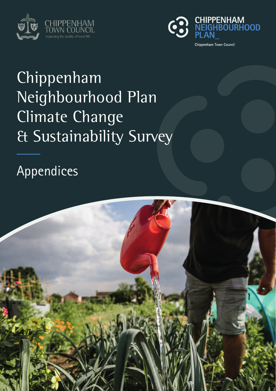



# Chippenham Neighbourhood Plan Climate Change & Sustainability Survey

Appendices

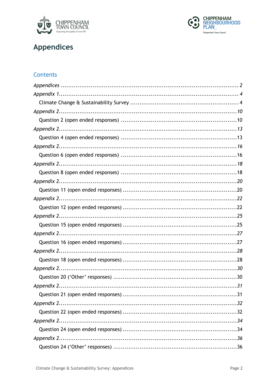



#### **Appendices**

#### Contents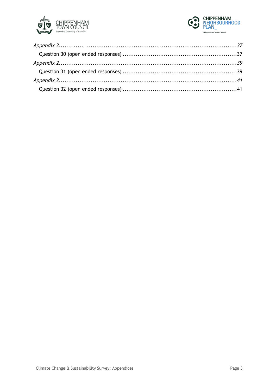

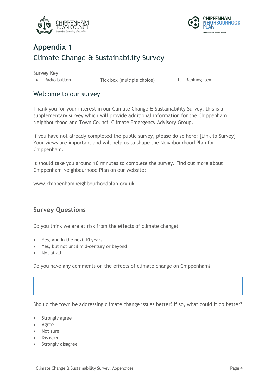



### **Appendix 1** Climate Change & Sustainability Survey

Survey Key

• Radio button Tick box (multiple choice) 1. Ranking item

#### Welcome to our survey

Thank you for your interest in our Climate Change & Sustainability Survey, this is a supplementary survey which will provide additional information for the Chippenham Neighbourhood and Town Council Climate Emergency Advisory Group.

If you have not already completed the public survey, please do so here: [Link to Survey] Your views are important and will help us to shape the Neighbourhood Plan for Chippenham.

It should take you around 10 minutes to complete the survey. Find out more about Chippenham Neighbourhood Plan on our website:

www.chippenhamneighbourhoodplan.org.uk

#### **Survey Questions**

Do you think we are at risk from the effects of climate change?

- Yes, and in the next 10 years
- Yes, but not until mid-century or beyond
- Not at all

Do you have any comments on the effects of climate change on Chippenham?

Should the town be addressing climate change issues better? If so, what could it do better?

- Strongly agree
- Agree
- Not sure
- Disagree
- Strongly disagree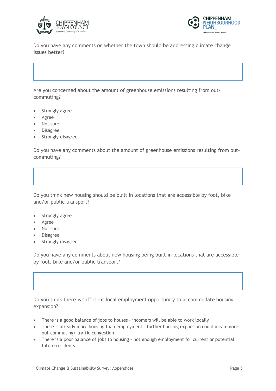



Do you have any comments on whether the town should be addressing climate change issues better?

Are you concerned about the amount of greenhouse emissions resulting from outcommuting?

- Strongly agree
- Agree
- Not sure
- Disagree
- Strongly disagree

Do you have any comments about the amount of greenhouse emissions resulting from outcommuting?

Do you think new housing should be built in locations that are accessible by foot, bike and/or public transport?

- Strongly agree
- Agree
- Not sure
- Disagree
- Strongly disagree

Do you have any comments about new housing being built in locations that are accessible by foot, bike and/or public transport?

Do you think there is sufficient local employment opportunity to accommodate housing expansion?

- There is a good balance of jobs to houses incomers will be able to work locally
- There is already more housing than employment further housing expansion could mean more out-commuting/ traffic congestion
- There is a poor balance of jobs to housing not enough employment for current or potential future residents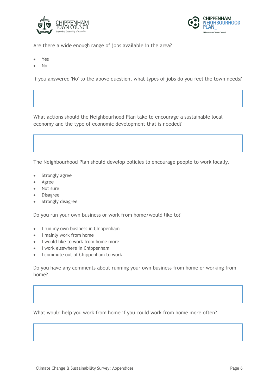



Are there a wide enough range of jobs available in the area?

- Yes
- $N<sub>0</sub>$

If you answered 'No' to the above question, what types of jobs do you feel the town needs?

What actions should the Neighbourhood Plan take to encourage a sustainable local economy and the type of economic development that is needed?

The Neighbourhood Plan should develop policies to encourage people to work locally.

- Strongly agree
- Agree
- Not sure
- Disagree
- Strongly disagree

Do you run your own business or work from home/would like to?

- I run my own business in Chippenham
- I mainly work from home
- I would like to work from home more
- I work elsewhere in Chippenham
- I commute out of Chippenham to work

Do you have any comments about running your own business from home or working from home?

What would help you work from home if you could work from home more often?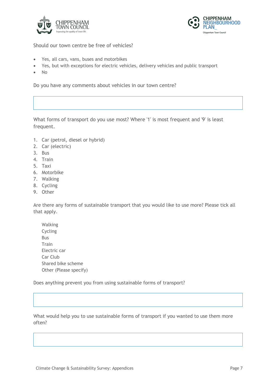



Should our town centre be free of vehicles?

- Yes, all cars, vans, buses and motorbikes
- Yes, but with exceptions for electric vehicles, delivery vehicles and public transport
- No

Do you have any comments about vehicles in our town centre?

What forms of transport do you use most? Where '1' is most frequent and '9' is least frequent.

- 1. Car (petrol, diesel or hybrid)
- 2. Car (electric)
- 3. Bus
- 4. Train
- 5. Taxi
- 6. Motorbike
- 7. Walking
- 8. Cycling
- 9. Other

Are there any forms of sustainable transport that you would like to use more? Please tick all that apply.

 Walking Cycling Bus Train Electric car Car Club Shared bike scheme Other (Please specify)

Does anything prevent you from using sustainable forms of transport?

What would help you to use sustainable forms of transport if you wanted to use them more often?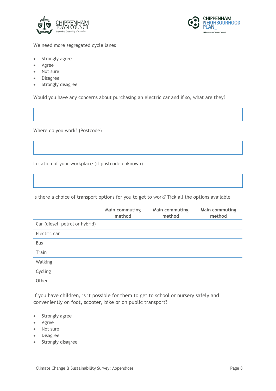



We need more segregated cycle lanes

- Strongly agree
- Agree
- Not sure
- Disagree
- Strongly disagree

Would you have any concerns about purchasing an electric car and if so, what are they?

Where do you work? (Postcode)

Location of your workplace (if postcode unknown)

Is there a choice of transport options for you to get to work? Tick all the options available

|                                | Main commuting<br>method | Main commuting<br>method | Main commuting<br>method |
|--------------------------------|--------------------------|--------------------------|--------------------------|
| Car (diesel, petrol or hybrid) |                          |                          |                          |
| Electric car                   |                          |                          |                          |
| <b>Bus</b>                     |                          |                          |                          |
| Train                          |                          |                          |                          |
| Walking                        |                          |                          |                          |
| Cycling                        |                          |                          |                          |
| Other                          |                          |                          |                          |

If you have children, is it possible for them to get to school or nursery safely and conveniently on foot, scooter, bike or on public transport?

- Strongly agree
- Agree
- Not sure
- Disagree
- Strongly disagree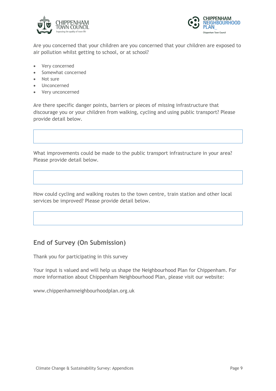



Are you concerned that your children are you concerned that your children are exposed to air pollution whilst getting to school, or at school?

- Very concerned
- Somewhat concerned
- Not sure
- Unconcerned
- Very unconcerned

Are there specific danger points, barriers or pieces of missing infrastructure that discourage you or your children from walking, cycling and using public transport? Please provide detail below.

What improvements could be made to the public transport infrastructure in your area? Please provide detail below.

How could cycling and walking routes to the town centre, train station and other local services be improved? Please provide detail below.

#### **End of Survey (On Submission)**

Thank you for participating in this survey

Your input is valued and will help us shape the Neighbourhood Plan for Chippenham. For more information about Chippenham Neighbourhood Plan, please visit our website:

www.chippenhamneighbourhoodplan.org.uk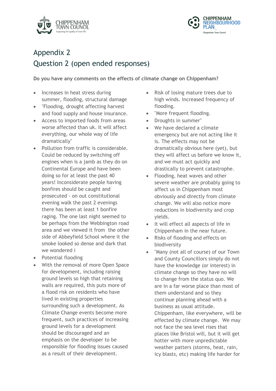



#### Appendix 2 Question 2 (open ended responses)

**Do you have any comments on the effects of climate change on Chippenham?**

- Increases in heat stress during summer, flooding, structural damage
- "Flooding, drought affecting harvest and food supply and house insurance.
- Access to imported foods from areas worse affected than uk. It will affect everything, our whole way of life dramatically"
- Pollution from traffic is considerable. Could be reduced by switching off engines when is a jamb as they do on Continental Europe and have been doing so for at least the past 40 years! Inconsiderate people having bonfires should be caught and prosecuted - on out constitutional evening walk the past 2 evenings there has been at least 1 bonfire raging. The one last night seemed to be perhaps from the Webbington road area and we viewed it from the other side of Abbeyfield School where it the smoke looked so dense and dark that we wondered i
- Potential flooding
- With the removal of more Open Space for development, including raising ground levels so high that retaining walls are required, this puts more of a flood risk on residents who have lived in existing properties surrounding such a development. As Climate Change events become more frequent, such practices of increasing ground levels for a development should be discouraged and an emphasis on the developer to be responsible for flooding issues caused as a result of their development.
- Risk of losing mature trees due to high winds. Increased frequency of flooding.
- "More frequent flooding.
- Droughts in summer"
- We have declared a climate emergency but are not acting like it is. The effects may not be dramatically obvious here (yet), but they will affect us before we know it, and we must act quickly and drastically to prevent catastrophe.
- Flooding, heat waves and other severe weather are probably going to affect us in Chippenham most obviously and directly from climate change. We will also notice more reductions in biodiversity and crop yields.
- It will effect all aspects of life in Chippenham in the near future.
- Risks of flooding and effects on biodiversity
- "Many (not all of course) of our Town and County Councillors simply do not have the knowledge (or interest) in climate change so they have no will to change from the status quo. We are in a far worse place than most of them understand and so they continue planning ahead with a business as usual attitude. Chippenham, like everywhere, will be effected by climate change. We may not face the sea level rises that places like Bristol will, but it will get hotter with more unpredictable weather patters (storms, heat, rain, icy blasts, etc) making life harder for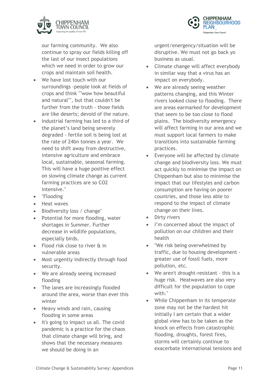

**CHIPPENHAM IEIGHBOURHOOD** Chippenham Town Council

our farming community. We also continue to spray our fields killing off the last of our insect populations which we need in order to grow our crops and maintain soil health.

- We have lost touch with our surroundings -people look at fields of crops and think ""wow how beautiful and natural"", but that couldn't be further from the truth - those fields are like deserts; devoid of the nature.
- Industrial farming has led to a third of the planet's land being severely degraded - fertile soil is being lost at the rate of 24bn tonnes a year. We need to shift away from destructive, intensive agriculture and embrace local, sustainable, seasonal farming. This will have a huge positive effect on slowing climate change as current farming practices are so CO2 intensive."
- "Flooding
- Heat waves
- Biodiversity loss / change"
- Potential for more flooding, water shortages in Summer. Further decrease in wildlife populations, especially birds.
- Flood risk close to river & in vulnerable areas
- Most urgently indirectly through food security.
- We are already seeing increased flooding
- The lanes are increasingly flooded around the area, worse than ever this winter
- Heavy winds and rain, causing flooding in some areas
- It's going to impact us all. The covid pandemic is a practice for the chaos that climate change will bring, and shows that the necessary measures we should be doing in an

urgent/energency/situation will be disruptive. We must not go back yo business as usual.

- Climate change will affect everybody in similar way that a virus has an impact on everybody.
- We are already seeing weather patterns changing, and this Winter rivers looked close to flooding. There are areas earmarked for development that seem to be too close to flood plains. The biodiversity emergency will affect farming in our area and we must support local farmers to make transitions into sustainable farming practices.
- Everyone will be affected by climate change and biodiversity loss. We must act quickly to minimise the impact on Chippenham but also to minimise the impact that our lifestyles and carbon consumption are having on poorer countries, and those less able to respond to the impact of climate change on their lives.
- Dirty rivers
- I'm concerned about the impact of pollution on our children and their health
- "We risk being overwhelmed by traffic, due to housing development greater use of fossil fuels, more pollution, etc.
- We aren't drought-resistant this is a huge risk. Heatwaves are also very difficult for the population to cope with."
- While Chippenham in its temperate zone may not be the hardest hit initially I am certain that a wider global view has to be taken as the knock on effects from catastrophic flooding, droughts, forest fires, storms will certainly continue to exacerbate international tensions and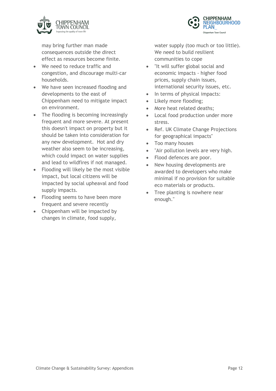



may bring further man made consequences outside the direct effect as resources become finite.

- We need to reduce traffic and congestion, and discourage multi-car households.
- We have seen increased flooding and developments to the east of Chippenham need to mitigate impact on environment.
- The flooding is becoming increasingly frequent and more severe. At present this doesn't impact on property but it should be taken into consideration for any new development. Hot and dry weather also seem to be increasing, which could impact on water supplies and lead to wildfires if not managed.
- Flooding will likely be the most visible impact, but local citizens will be impacted by social upheaval and food supply impacts.
- Flooding seems to have been more frequent and severe recently
- Chippenham will be impacted by changes in climate, food supply,

water supply (too much or too little). We need to build resilient communities to cope

- "It will suffer global social and economic impacts - higher food prices, supply chain issues, international security issues, etc.
- In terms of physical impacts:
- Likely more flooding;
- More heat related deaths;
- Local food production under more stress.
- Ref. UK Climate Change Projections for geographical impacts"
- Too many houses
- "Air pollution levels are very high.
- Flood defences are poor.
- New housing developments are awarded to developers who make minimal if no provision for suitable eco materials or products.
- Tree planting is nowhere near enough."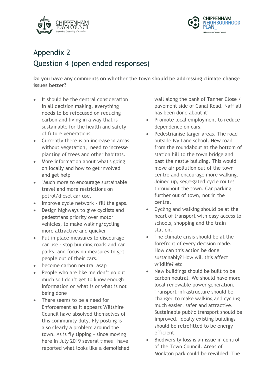



# Appendix 2 Question 4 (open ended responses)

**Do you have any comments on whether the town should be addressing climate change issues better?**

- It should be the central consideration in all decision making, everything needs to be refocused on reducing carbon and living in a way that is sustainable for the health and safety of future generations
- Currently there is an increase in areas without vegetation, need to incresse planting of trees and other habitats.
- More information about what's going on locally and how to get involved and get help
- "Much more to encourage sustainable travel and more restrictions on petrol/diesel car use.
- Improve cycle network fill the gaps.
- Design highways to give cyclists and pedestrians priority over motor vehicles, to make walking/cycling more attractive and quicker
- Put in place measures to discourage car use - stop building roads and car parks, and focus on measures to get people out of their cars."
- become carbon neutral asap
- People who are like me don't go out much so I don't get to know enough information on what is or what is not being done
- There seems to be a need for Enforcement as it appears Wiltshire Council have absolved themselves of this community duty. Fly posting is also clearly a problem around the town. As is fly tipping - since moving here in July 2019 several times I have reported what looks like a demolished

wall along the bank of Tanner Close / pavement side of Canal Road. Naff all has been done about it!

- Promote local employment to reduce dependence on cars.
- Pedestrianise larger areas. The road outside Ivy Lane school. New road from the roundabout at the bottom of station hill to the town bridge and past the nestle building. This would move air pollution out of the town centre and encourage more walking. Joined up, segregated cycle routes throughout the town. Car parking further out of town, not in the centre.
- Cycling and walking should be at the heart of transport with easy access to schools, shopping and the train station.
- The climate crisis should be at the forefront of every decision made. How can this action be done sustainably? How will this affect wildlife? etc
- New buildings should be built to be carbon neutral. We should have more local renewable power generation. Transport infrastructure should be changed to make walking and cycling much easier, safer and attractive. Sustainable public transport should be improved. Ideally existing buildings should be retrofitted to be energy efficient.
- Biodiversity loss is an issue in control of the Town Council. Areas of Monkton park could be rewilded. The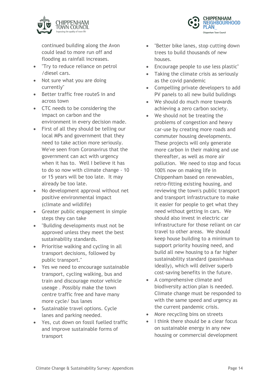

continued building along the Avon could lead to more run off and flooding as rainfall increases.

- "Try to reduce reliance on petrol /diesel cars.
- Not sure what you are doing currently"
- Better traffic free routeS in and across town
- CTC needs to be considering the impact on carbon and the environment in every decision made.
- First of all they should be telling our local MPs and government that they need to take action more seriously. We've seen from Coronavirus that the government can act with urgency when it has to. Well I believe it has to do so now with climate change - 10 or 15 years will be too late. It may already be too late.
- No development approval without net positive environmental impact (climate and wildlife)
- Greater public engagement in simple steps they can take
- "Building developments must not be approved unless they meet the best sustainability standards.
- Prioritise walking and cycling in all transport decisions, followed by public transport."
- Yes we need to encourage sustainable transport, cycling walking, bus and train and discourage motor vehicle useage . Possibly make the town centre traffic free and have many more cycle/ bus lanes
- Sustainable travel options. Cycle lanes and parking needed.
- Yes, cut down on fossil fuelled traffic and improve sustainable forms of transport
- "Better bike lanes, stop cutting down trees to build thousands of new houses.
- Encourage people to use less plastic"
- Taking the climate crisis as seriously as the covid pandemic
- Compelling private developers to add PV panels to all new build buildings
- We should do much more towards achieving a zero carbon society.
- We should not be treating the problems of congestion and heavy car-use by creating more roads and commuter housing developments. These projects will only generate more carbon in their making and use thereafter, as well as more air pollution. We need to stop and focus 100% now on making life in Chippenham based on renewables, retro-fitting existing housing, and reviewing the town's public transport and transport infrastructure to make it easier for people to get what they need without getting in cars. We should also invest in electric car infrastructure for those reliant on car travel to other areas. We should keep house building to a minimum to support priority housing need, and build all new housing to a far higher sustainability standard (passivhaus ideally), which will deliver superb cost-saving benefits in the future.
- A comprehensive climate and biodiversity action plan is needed. Climate change must be responded to with the same speed and urgency as the current pandemic crisis.
- More recycling bins on streets
- I think there should be a clear focus on sustainable energy in any new housing or commercial development

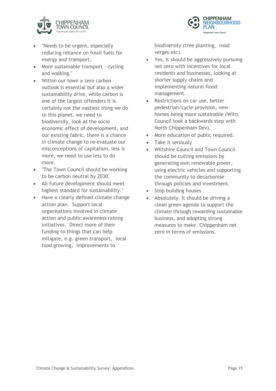



- "Needs to be urgent, especially reducing reliance on fossil fuels for energy and transport.
- More sustainable transport cycling and walking."
- Within our town a zero carbon outlook is essential but also a wider sustainability drive, while carbon is one of the largest offenders it is certainly not the nastiest thing we do to this planet. we need to biodiversify, look at the socio economic effect of development, and our existing fabric. there is a chance in climate change to re-evaluate our misconceptions of capitalism, less is more, we need to use less to do more.
- "The Town Council should be working to be carbon neutral by 2030.
- All future development should meet highest standard for sustainability."
- Have a clearly defined climate change action plan. Support local organisations involved in climate action and public awareness raising initiatives. Direct more of their funding to things that can help mitigate, e.g. green transport, local food growing, improvements to

biodiversity (tree planting, road verges etc).

- Yes, it should be aggressively pursuing net zero with incentives for local residents and businesses, looking at shorter supply chains and implementing natural flood management.
- Restrictions on car use, better pedestrian/cycle provision, new homes being more sustainable (Wilts Council took a backwards step with North Chippenham Dev).
- More education of public required.
- Take it seriously
- Wiltshire Council and Town Council should be cutting emissions by generating own renewable power, using electric vehicles and supporting the community to decarbonise through policies and investment.
- Stop building houses
- Absolutely. It should be driving a clean green agenda to support the climate through rewarding sustainable business, and adopting strong measures to make. Chippenham net zero in terms of emissions.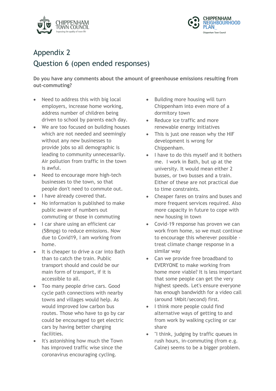



# Appendix 2 Question 6 (open ended responses)

**Do you have any comments about the amount of greenhouse emissions resulting from out-commuting?**

- Need to address this with big local employers, increase home working, address number of children being driven to school by parents each day.
- We are too focused on building houses which are not needed and seemingly without any new businesses to provide jobs so all demographic is leading to community unnecessarily. Air pollution from traffic in the town is awful.
- Need to encourage more high-tech businesses to the town, so that people don't need to commute out.
- I have already covered that.
- No information is published to make public aware of numbers out commuting or those in commuting
- I car share using an efficient car (58mpg) to reduce emissions. Now due to Covid19, I am working from home.
- It is cheaper to drive a car into Bath than to catch the train. Public transport should and could be our main form of transport, if it is accessible to all.
- Too many people drive cars. Good cycle path connections with nearby towns and villages would help. As would improved low carbon bus routes. Those who have to go by car could be encouraged to get electric cars by having better charging facilities.
- It's astonishing how much the Town has improved traffic wise since the coronavirus encouraging cycling.
- Building more housing will turn Chippenham into even more of a dormitory town
- Reduce ice traffic and more renewable energy initiatives
- This is just one reason why the HIF development is wrong for Chippenham.
- I have to do this myself and it bothers me. I work in Bath, but up at the university. It would mean either 2 busses, or two busses and a train. Either of these are not practical due to time constraints.
- Cheaper fares on trains and buses and more frequent services required. Also more capacity in future to cope with new housing in town
- Covid-19 response has proven we can work from home, so we must continue to encourage this wherever possible treat climate change response in a similar way
- Can we provide free broadband to EVERYONE to make working from home more viable? It is less important that some people can get the very highest speeds. Let's ensure everyone has enough bandwidth for a video call (around 1Mbit/second) first.
- I think more people could find alternative ways of getting to and from work by walking cycling or car share
- "I think, judging by traffic queues in rush hours, in-commuting (from e.g. Calne) seems to be a bigger problem.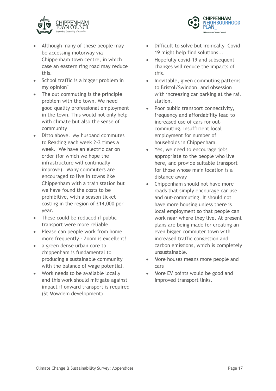



- Although many of these people may be accessing motorway via Chippenham town centre, in which case an eastern ring road may reduce this.
- School traffic is a bigger problem in my opinion"
- The out commuting is the principle problem with the town. We need good quality professional employment in the town. This would not only help with climate but also the sense of community
- Ditto above. My husband commutes to Reading each week 2-3 times a week. We have an electric car on order (for which we hope the infrastructure will continually improve). Many commuters are encouraged to live in towns like Chippenham with a train station but we have found the costs to be prohibitive, with a season ticket costing in the region of £14,000 per year.
- These could be reduced if public transport were more reliable
- Please can people work from home more frequently - Zoom is excellent!
- a green dense urban core to chippenham is fundamental to producing a sustainable community with the balance of wage potential.
- Work needs to be available locally and this work should mitigate against impact if onward transport is required (St Mowdem development)
- Difficult to solve but ironically Covid 19 might help find solutions...
- Hopefully covid-19 and subsequent changes will reduce the impacts of this.
- Inevitable, given commuting patterns to Bristol/Swindon, and obsession with increasing car parking at the rail station.
- Poor public transport connectivity, frequency and affordability lead to increased use of cars for outcommuting. Insufficient local employment for number of households in Chippenham.
- Yes, we need to encourage jobs appropriate to the people who live here, and provide suitable transport for those whose main location is a distance away
- Chippenham should not have more roads that simply encourage car use and out-commuting. It should not have more housing unless there is local employment so that people can work near where they live. At present plans are being made for creating an even bigger commuter town with increased traffic congestion and carbon emissions, which is completely unsustainable.
- More houses means more people and cars
- More EV points would be good and improved transport links.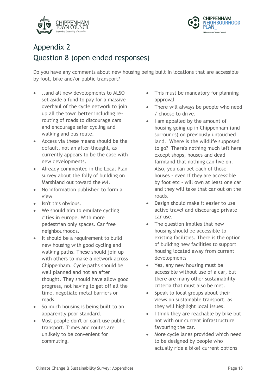



#### Appendix 2 Question 8 (open ended responses)

Do you have any comments about new housing being built in locations that are accessible by foot, bike and/or public transport?

- ..and all new developments to ALSO set aside a fund to pay for a massive overhaul of the cycle network to join up all the town better including rerouting of roads to discourage cars and encourage safer cycling and walking and bus route.
- Access via these means should be the default, not an after-thought, as currently appears to be the case with new developments.
- Already commented in the Local Plan survey about the folly of building on Marshland out toward the M4.
- No information published to form a view
- Isn't this obvious.
- We should aim to emulate cycling cities in europe. With more pedestrian only spaces. Car free neighbourhoods.
- It should be a requirement to build new housing with good cycling and walking paths. These should join up with others to make a network across Chippenham. Cycle paths should be well planned and not an after thought. They should have allow good progress, not having to get off all the time, negotiate metal barriers or roads.
- So much housing is being built to an apparently poor standard.
- Most people don't or can't use public transport. Times and routes are unlikely to be convenient for commuting.
- This must be mandatory for planning approval
- There will always be people who need / choose to drive.
- I am appalled by the amount of housing going up in Chippenham (and surrounds) on previously untouched land. Where is the wildlife supposed to go? There's nothing much left here except shops, houses and dead farmland that nothing can live on. Also, you can bet each of those houses - even if they are accessible by foot etc - will own at least one car and they will take that car out on the roads.
- Design should make it easier to use active travel and discourage private car use.
- The question implies that new housing should be accessible to existing facilities. There is the option of building new facilities to support housing located away from current developments
- Yes, any new housing must be accessible without use of a car, but there are many other sustainability criteria that must also be met.
- Speak to local groups about their views on sustainable transport, as they will highlight local issues.
- I think they are reachable by bike but not with our current infrastructure favouring the car.
- More cycle lanes provided which need to be designed by people who actually ride a bike! current options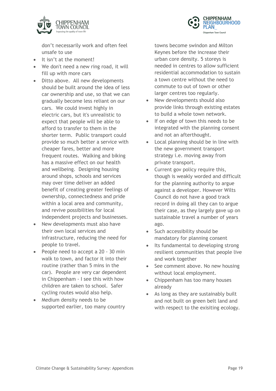

**CHIPPENHAM NEIGHBOURHOOD** Chippenham Town Council

don't necessarily work and often feel unsafe to use

- It isn't at the moment!
- We don't need a new ring road, it will fill up with more cars
- Ditto above. All new developments should be built around the idea of less car ownership and use, so that we can gradually become less reliant on our cars. We could invest highly in electric cars, but it's unrealistic to expect that people will be able to afford to transfer to them in the shorter term. Public transport could provide so much better a service with cheaper fares, better and more frequent routes. Walking and biking has a massive effect on our health and wellbeing. Designing housing around shops, schools and services may over time deliver an added benefit of creating greater feelings of ownership, connectedness and pride within a local area and community, and revive possibilities for local independent projects and businesses.
- New developments must also have their own local services and infrastructure, reducing the need for people to travel.
- People need to accept a 20 30 min walk to town, and factor it into their routine (rather than 5 mins in the car). People are very car dependent in Chippenham - I see this with how children are taken to school. Safer cycling routes would also help.
- Medium density needs to be supported earlier, too many country

towns become swindon and Milton Keynes before the increase their urban core density. 5 storeys is needed in centres to allow sufficient residential accommodation to sustain a town centre without the need to commute to out of town or other larger centres too regularly.

- New developments should also provide links through existing estates to build a whole town network.
- If on edge of town this needs to be integrated with the planning consent and not an afterthought.
- Local planning should be in line with the new government transport strategy i.e. moving away from private transport.
- Current gov policy require this, though is weakly worded and difficult for the planning authority to argue against a developer. However Wilts Council do not have a good track record in doing all they can to argue their case, as they largely gave up on sustainable travel a number of years ago.
- Such accessibility should be mandatory for planning consent
- Its fundamental to developing strong resilient communities that people live and work together
- See comment above. No new housing without local employment.
- Chippenham has too many houses already
- As long as they are sustainably built and not built on green belt land and with respect to the exisiting ecology.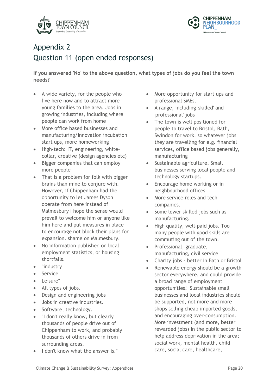



# Appendix 2 Question 11 (open ended responses)

**If you answered 'No' to the above question, what types of jobs do you feel the town needs?**

- A wide variety, for the people who live here now and to attract more young families to the area. Jobs in growing industries, including where people can work from home
- More office based businesses and manufacturing/innovation incubation start ups, more homeworking
- High-tech: IT, engineering, whitecollar, creative (design agencies etc)
- Bigger companies that can employ more people
- That is a problem for folk with bigger brains than mine to conjure with. However, if Chippenham had the opportunity to let James Dyson operate from here instead of Malmesbury I hope the sense would prevail to welcome him or anyone like him here and put measures in place to encourage not block their plans for expansion. shame on Malmesbury.
- No information published on local employment statistics, or housing shortfalls.
- "industry
- Service
- Leisure"
- All types of jobs.
- Design and engineering jobs
- Jobs in creative industries.
- Software, technology.
- "I don't really know, but clearly thousands of people drive out of Chippenham to work, and probably thousands of others drive in from surrounding areas.
- I don't know what the answer is."
- More opportunity for start ups and professional SMEs.
- A range, including 'skilled' and 'professional' jobs
- The town is well positioned for people to travel to Bristol, Bath, Swindon for work, so whatever jobs they are travelling for e.g. financial services, office based jobs generally, manufacturing
- Sustainable agriculture. Small businesses serving local people and technology startups.
- Encourage home working or in neighbourhood offices
- More service roles and tech companies.
- Some lower skilled jobs such as manufacturing.
- High quality, well-paid jobs. Too many people with good skills are commuting out of the town.
- Professional, graduate, manufacturing, civil service
- Charity jobs better in Bath or Bristol
- Renewable energy should be a growth sector everywhere, and could provide a broad range of employment opportunities! Sustainable small businesses and local industries should be supported, not more and more shops selling cheap imported goods, and encouraging over-consumption. More investment (and more, better rewarded jobs) in the public sector to help address deprivation in the area; social work, mental health, child care, social care, healthcare,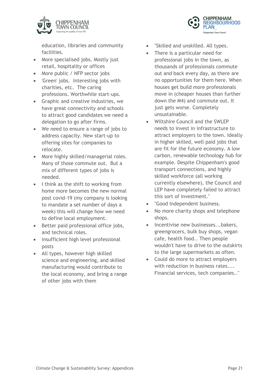

education, libraries and community facilities.

- More specialised jobs. Mostly just retail, hospitality or offices
- More public / NFP sector jobs
- 'Green' jobs. Interesting jobs with charities, etc. The caring professions. Worthwhile start-ups.
- Graphic and creative industries, we have great connectivity and schools to attract good candidates we need a delegation to go after firms.
- We need to ensure a range of jobs to address capacity. New start-up to offering sites for companies to relocate.
- More highly skilled/managerial roles. Many of those commute out. But a mix of different types of jobs is needed.
- I think as the shift to working from home more becomes the new normal post covid-19 (my company is looking to mandate a set number of days a week) this will change how we need to define local employment.
- Better paid professional office jobs, and technical roles.
- insufficient high level professional posts
- All types, however high skilled science and engineering, and skilled manufacturing would contribute to the local economy, and bring a range of other jobs with them

"Skilled and unskilled. All types.

**CHIPPENHAM IEIGHBOURHOOD** 

Chippenham Town Council

- There is a particular need for professional jobs in the town, as thousands of professionals commute out and back every day, as there are no opportunities for them here. When houses get build more professionals move in (cheaper houses than further down the M4) and commute out. It just gets worse. Completely unsustainable.
- Wiltshire Council and the SWLEP needs to invest in infrastructure to attract employers to the town. Ideally in higher skilled, well paid jobs that are fit for the future economy. A low carbon, renewable technology hub for example. Despite Chippenham's good transport connections, and highly skilled workforce (all working currently elsewhere), the Council and LEP have completely failed to attract this sort of investment."
- "Good Independent business.
- No more charity shops and telephone shops.
- Incentivise new businesses...bakers, greengrocers, bulk buy shops, vegan cafe, health food.. Then people wouldn't have to drive to the outskirts to the large supermarkets as often.
- Could do more to attract employers with reduction in business rates.... Financial services, tech companies.."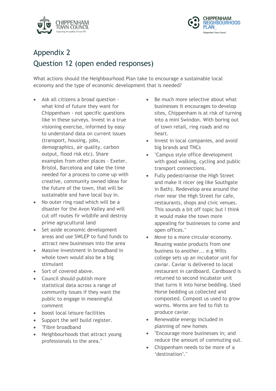



#### Appendix 2 Question 12 (open ended responses)

What actions should the Neighbourhood Plan take to encourage a sustainable local economy and the type of economic development that is needed?

- Ask all citizens a broad question what kind of future they want for Chippenham - not specific questions like in these surveys. Invest in a true visioning exercise, informed by easy to understand data on current issues (transport, housing, jobs, demographics, air quality, carbon output, flood risk etc). Share examples from other places - Exeter, Bristol, Barcelona and take the time needed for a process to come up with creative, community owned ideas for the future of the town, that will be sustainable and have local buy in.
- No outer ring road which will be a disaster for the Avon Valley and will cut off routes fir wildlife and destroy prime agrucultural land
- Set aside economic development areas and use SWLEP to fund funds to attract new businesses into the area
- Massive investment in broadband in whole town would also be a big stimulant
- Sort of covered above.
- Council should publish more statistical data across a range of community issues if they want the public to engage in meaningful comment
- boost local leisure facilities
- Support the self build register.
- "Fibre broadband
- Neighbourhoods that attract young professionals to the area."
- Be much more selective about what businesses it encourages to develop sites, Chippenham is at risk of turning into a mini Swindon. With boring out of town retail, ring roads and no heart.
- Invest in local companies, and avoid big brands and TNCs
- "Campus style office development with good walking, cycling and public transport connections.
- Fully pedestrianise the High Street and make it nicer (eg like Southgate in Bath). Redevelop area around the river near the High Street for cafe, restaurants, shops and civic venues. This sounds a bit off topic but I think it would make the town more appealing for businesses to come and open offices."
- Move to a more circular economy. Reusing waste products from one business to another... e.g Wilts college sets up an incubator unit for caviar. Caviar is delivered to local restaurant in cardboard. Cardboard is returned to second incubator unit that turns it into horse bedding. Used Horse bedding us collected and composted. Compost us used to grow worms. Worms are fed to fish to produce caviar.
- Renewable energy included in planning of new homes
- "Encourage more businesses in; and reduce the amount of commuting out.
- Chippenham needs to be more of a 'destination'."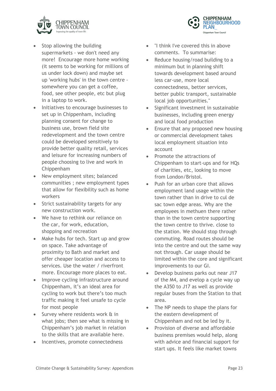



- Stop allowing the building supermarkets - we don't need any more! Encourage more home working (it seems to be working for millions of us under lock down) and maybe set up 'working hubs' in the town centre somewhere you can get a coffee, food, see other people, etc but plug in a laptop to work.
- Initiatives to encourage businesses to set up in Chippenham, including planning consent for change to business use, brown field site redevelopment and the town centre could be developed sensitively to provide better quality retail, services and leisure for increasing numbers of people choosing to live and work in Chippenham
- New employment sites; balanced communities ; new employment types that allow for flexibility such as home workers
- Strict sustainability targets for any new construction work.
- We have to rethink our reliance on the car, for work, education, shopping and recreation
- Make hubs for tech. Start up and grow on space. Take advantage of proximity to Bath and market and offer cheaper location and access to services. Use the water / riverfront more. Encourage more places to eat.
- Improve cycling infrastructure around Chippenham, it's an ideal area for cycling to work but there's too much traffic making it feel unsafe to cycle for most people
- Survey where residents work & in what jobs; then see what is missing in Chippenham's job market in relation to the skills that are available here.
- Incentives, promote connectedness
- "I think I've covered this in above comments. To summarise:
- Reduce housing/road building to a minimum but in planning shift towards development based around less car-use, more local connectedness, better services, better public transport, sustainable local job opportunities."
- Significant investment in sustainable businesses, including green energy and local food production
- Ensure that any proposed new housing or commercial development takes local employment situation into account
- Promote the attractions of Chippenham to start-ups and for HQs of charities, etc, looking to move from London/Bristol.
- Push for an urban core that allows employment land usage within the town rather than in drive to cul de sac town edge areas. Why are the employees in methuen there rather than in the town centre supporting the town centre to thrive. close to the station. We should stop through commuting. Road routes should be into the centre and out the same way not through. Car usage should be limited within the core and significant improvements to our GI.
- Develop business parks out near J17 of the M4, and evelop a cycle way up the A350 to J17 as well as provide regular buses from the Station to that area.
- The NP needs to shape the plans for the eastern development of Chippenham and not be led by it.
- Provision of diverse and affordable business premises would help, along with advice and financial support for start ups. It feels like market towns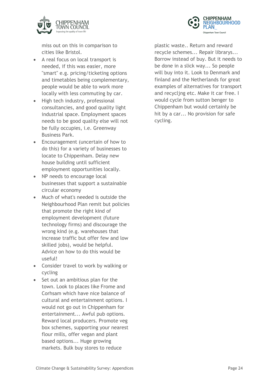



miss out on this in comparison to cities like Bristol.

- A real focus on local transport is needed, if this was easier, more "smart" e.g. pricing/ticketing options and timetables being complementary, people would be able to work more locally with less commuting by car.
- High tech industry, professional consultancies, and good quality light industrial space. Employment spaces needs to be good quality else will not be fully occupies, i.e. Greenway Business Park.
- Encouragement (uncertain of how to do this) for a variety of businesses to locate to Chippenham. Delay new house building until sufficient employment opportunities locally.
- NP needs to encourage local businesses that support a sustainable circular economy
- Much of what's needed is outside the Neighbourhood Plan remit but policies that promote the right kind of employment development (future technology firms) and discourage the wrong kind (e.g. warehouses that increase traffic but offer few and low skilled jobs), would be helpful. Advice on how to do this would be useful!
- Consider travel to work by walking or cycling
- Set out an ambitious plan for the town. Look to places like Frome and Corhsam which have nice balance of cultural and entertainment options. I would not go out in Chippenham for entertainment... Awful pub options. Reward local producers. Promote veg box schemes, supporting your nearest flour mills, offer vegan and plant based options... Huge growing markets. Bulk buy stores to reduce

plastic waste.. Return and reward recycle schemes... Repair librarys... Borrow instead of buy. But it needs to be done in a slick way... So people will buy into it. Look to Denmark and finland and the Netherlands for great examples of alternatives for transport and recycljng etc. Make it car free. I would cycle from sutton benger to Chippenham but would certainly be hit by a car... No provision for safe cycling.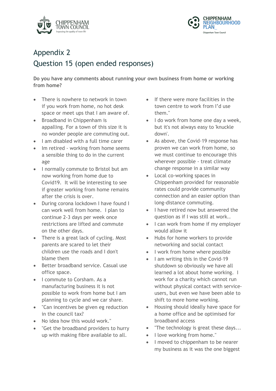



# Appendix 2 Question 15 (open ended responses)

**Do you have any comments about running your own business from home or working from home?**

- There is nowhere to network in town if you work from home, no hot desk space or meet ups that I am aware of.
- Broadband in Chippenham is appalling. For a town of this size it is no wonder people are commuting out.
- I am disabled with a full time carer
- Im retired working from home seems a sensible thing to do in the current age
- I normally commute to Bristol but am now working from home due to Covid19. It will be interesting to see if greater working from home remains after the crisis is over.
- During corona lockdown I have found I can work well from home. I plan to continue 2-3 days per week once restrictions are lifted and commute on the other days.
- There is a great lack of cycling. Most parents are scared to let their children use the roads and I don't blame them
- Better broadband service. Casual use office space.
- I commute to Corsham. As a manufacturing business it is not possible to work from home but I am planning to cycle and we car share.
- "Can incentives be given eg reduction in the council tax?
- No idea how this would work."
- "Get the broadband providers to hurry up with making fibre available to all.
- If there were more facilities in the town centre to work from I'd use them."
- I do work from home one day a week, but it's not always easy to 'knuckle down'.
- As above, the Covid-19 response has proven we can work from home, so we must continue to encourage this wherever possible - treat climate change response in a similar way
- Local co-working spaces in Chippenham provided for reasonable rates could provide community connection and an easier option than long-distance commuting.
- I have retired now but answered the question as if I was still at work..
- I can work from home if my employer would allow it
- Hubs for home workers to provide networking and social contact
- I work from home where possible
- I am writing this in the Covid-19 shutdown so obviously we have all learned a lot about home working. I work for a charity which cannot run without physical contact with serviceusers, but even we have been able to shift to more home working.
- Housing should ideally have space for a home office and be optimised for broadband access
- "The technology is great these days...
- I love working from home."
- I moved to chippenham to be nearer my business as it was the one biggest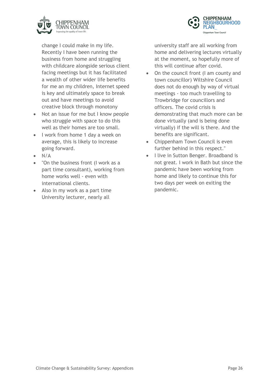



change I could make in my life. Recently I have been running the business from home and struggling with childcare alongside serious client facing meetings but it has facilitated a wealth of other wider life benefits for me an my children, Internet speed is key and ultimately space to break out and have meetings to avoid creative block through monotony

- Not an issue for me but I know people who struggle with space to do this well as their homes are too small.
- I work from home 1 day a week on average, this is likely to increase going forward.
- N/A
- "On the business front (I work as a part time consultant), working from home works well - even with international clients.
- Also in my work as a part time University lecturer, nearly all

university staff are all working from home and delivering lectures virtually at the moment, so hopefully more of this will continue after covid.

- On the council front (I am county and town councillor) Wiltshire Council does not do enough by way of virtual meetings - too much travelling to Trowbridge for councillors and officers. The covid crisis is demonstrating that much more can be done virtually (and is being done virtually) if the will is there. And the benefits are significant.
- Chippenham Town Council is even further behind in this respect."
- I live in Sutton Benger. Broadband is not great. I work in Bath but since the pandemic have been working from home and likely to continue this for two days per week on exiting the pandemic.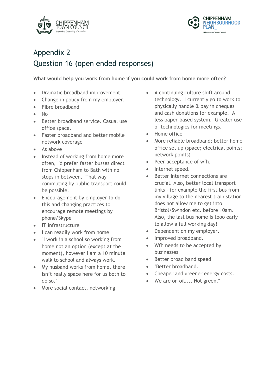



### Appendix 2 Question 16 (open ended responses)

**What would help you work from home if you could work from home more often?**

- Dramatic broadband improvement
- Change in policy from my employer.
- Fibre broadband
- No
- Better broadband service. Casual use office space.
- Faster broadband and better mobile network coverage
- As above
- Instead of working from home more often, I'd prefer faster busses direct from Chippenham to Bath with no stops in between. That way commuting by public transport could be possible.
- Encouragement by employer to do this and changing practices to encourage remote meetings by phone/Skype
- IT infrastructure
- I can readily work from home
- "I work in a school so working from home not an option (except at the moment), however I am a 10 minute walk to school and always work.
- My husband works from home, there isn't really space here for us both to do so."
- More social contact, networking
- A continuing culture shift around technology. I currently go to work to physically handle & pay in cheques and cash donations for example. A less paper-based system. Greater use of technologies for meetings.
- Home office
- More reliable broadband; better home office set up (space; electrical points; network points)
- Peer acceptance of wfh.
- Internet speed.
- Better internet connections are crucial. Also, better local transport links - for example the first bus from my village to the nearest train station does not allow me to get into Bristol/Swindon etc. before 10am. Also, the last bus home is tooo early to allow a full working day!
- Dependent on my employer.
- Improved broadband.
- Wfh needs to be accepted by businesses
- Better broad band speed
- "Better broadband.
- Cheaper and greener energy costs.
- We are on oil.... Not green."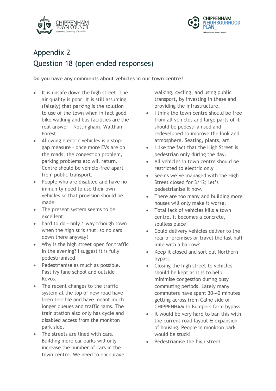



### Appendix 2 Question 18 (open ended responses)

**Do you have any comments about vehicles in our town centre?**

- It is unsafe down the high street. The air quality is poor. It is still assuming (falsely) that parking is the solution to use of the town when in fact good bike walking and bus facilities are the real answer - Nottingham, Waltham Forest
- Allowing electric vehicles is a stopgap measure – once more EVs are on the roads, the congestion problem, parking problems etc will return. Centre should be vehicle-free apart from public transport.
- People who are disabled and have no immunity need to use their own vehicles so that provision should be made
- The present system seems to be excellent.
- hard to do only 1 way trhough town when the high st is shut! so no cars down there anyway!
- Why is the high street open for traffic in the evening? I suggest it is fully pedestrianised.
- Pedestrianise as much as possible. Past ivy lane school and outside Revos.
- The recent changes to the traffic system at the top of new road have been terrible and have meant much longer queues and traffic jams. The train station also only has cycle and disabled access from the monkton park side.
- The streets are lined with cars. Building more car parks will only increase the number of cars in the town centre. We need to encourage

walking, cycling, and using public transport, by investing in these and providing the infrastructure.

- I think the town centre should be free from all vehicles and large parts of it should be pedestrianised and redeveloped to improve the look and atmosphere. Seating, plants, art.
- I like the fact that the High Street is pedestrian only during the day.
- All vehicles in town centre should be restricted to electric only
- Seems we've managed with the High Street closed for 3/12; let's pedestrianise it now.
- There are too many and building more houses will only make it worse.
- Total lack of vehicles kills a town centre, it becomes a concrete, soulless place
- Could delivery vehicles deliver to the rear of premises or travel the last half mile with a barrow?
- Keep it closed and sort out Northern bypass
- Closing the high street to vehicles should be kept as it is to help minimise congestion during busy commuting periods. Lately many commuters have spent 30-40 minutes getting across from Calne side of CHIPPENHAM to Bumpers farm bypass.
- It would be very hard to ban this with the current road layout & expansion of housing. People in monkton park would be stuck!
- Pedestrianise the high street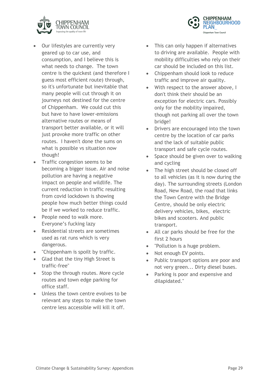



- Our lifestyles are currently very geared up to car use, and consumption, and I believe this is what needs to change. The town centre is the quickest (and therefore I guess most efficient route) through, so it's unfortunate but inevitable that many people will cut through it on journeys not destined for the centre of Chippenham. We could cut this but have to have lower-emissions alternative routes or means of transport better available, or it will just provoke more traffic on other routes. I haven't done the sums on what is possible vs situation now though!
- Traffic congestion seems to be becoming a bigger issue. Air and noise pollution are having a negative impact on people and wildlife. The current reduction in traffic resulting from covid lockdown is showing people how much better things could be if we worked to reduce traffic.
- People need to walk more. Everyone's fucking lazy
- Residential streets are sometimes used as rat runs which is very dangerous.
- "Chippenham is spoilt by traffic.
- Glad that the tiny High Street is traffic-free"
- Stop the through routes. More cycle routes and town edge parking for office staff.
- Unless the town centre evolves to be relevant any steps to make the town centre less accessible will kill it off.
- This can only happen if alternatives to driving are available. People with mobility difficulties who rely on their car should be included on this list.
- Chippenham should look to reduce traffic and improve air quality.
- With respect to the answer above, I don't think their should be an exception for electric cars. Possibly only for the mobility impaired, though not parking all over the town bridge!
- Drivers are encouraged into the town centre by the location of car parks and the lack of suitable public transport and safe cycle routes.
- Space should be given over to walking and cycling
- The high street should be closed off to all vehicles (as it is now during the day). The surrounding streets (London Road, New Road, the road that links the Town Centre with the Bridge Centre, should be only electric delivery vehicles, bikes, electric bikes and scooters. And public transport.
- All car parks should be free for the first 2 hours
- "Pollution is a huge problem.
- Not enough EV points.
- Public transport options are poor and not very green... Dirty diesel buses.
- Parking is poor and expensive and dilapidated."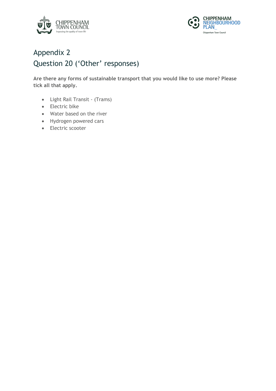



#### Appendix 2 Question 20 ('Other' responses)

**Are there any forms of sustainable transport that you would like to use more? Please tick all that apply.**

- Light Rail Transit (Trams)
- Electric bike
- Water based on the river
- Hydrogen powered cars
- Electric scooter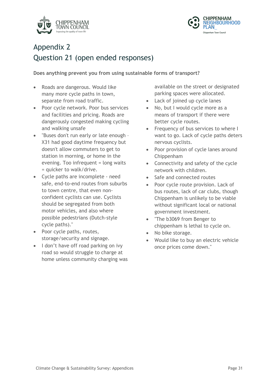



#### Appendix 2 Question 21 (open ended responses)

**Does anything prevent you from using sustainable forms of transport?**

- Roads are dangerous. Would like many more cycle paths in town, separate from road traffic.
- Poor cycle network. Poor bus services and facilities and pricing. Roads are dangerously congested making cycling and walking unsafe
- "Buses don't run early or late enough X31 had good daytime frequency but doesn't allow commuters to get to station in morning, or home in the evening. Too infrequent = long waits = quicker to walk/drive.
- Cycle paths are incomplete need safe, end-to-end routes from suburbs to town centre, that even nonconfident cyclists can use. Cyclists should be segregated from both motor vehicles, and also where possible pedestrians (Dutch-style cycle paths)."
- Poor cycle paths, routes, storage/security and signage.
- I don't have off road parking on ivy road so would struggle to charge at home unless community charging was

available on the street or designated parking spaces were allocated.

- Lack of joined up cycle lanes
- No, but I would cycle more as a means of transport if there were better cycle routes.
- Frequency of bus services to where I want to go. Lack of cycle paths deters nervous cyclists.
- Poor provision of cycle lanes around Chippenham
- Connectivity and safety of the cycle network with children.
- Safe and connected routes
- Poor cycle route provision. Lack of bus routes, lack of car clubs, though Chippenham is unlikely to be viable without significant local or national government investment.
- "The b3069 from Benger to chippenham is lethal to cycle on.
- No bike storage.
- Would like to buy an electric vehicle once prices come down."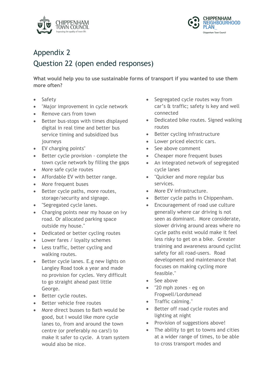



### Appendix 2 Question 22 (open ended responses)

**What would help you to use sustainable forms of transport if you wanted to use them more often?**

- Safety
- "Major improvement in cycle network
- Remove cars from town
- Better bus-stops with times displayed digital in real time and better bus service timing and subsidized bus journeys
- EV charging points"
- Better cycle provision complete the town cycle network by filling the gaps
- More safe cycle routes
- Affordable EV with better range.
- More frequent buses
- Better cycle paths, more routes, storage/security and signage.
- "Segregated cycle lanes.
- Charging points near my house on ivy road. Or allocated parking space outside my house."
- Dedicated or better cycling routes
- Lower fares / loyalty schemes
- Less traffic, better cycling and walking routes.
- Better cycle lanes. E.g new lights on Langley Road took a year and made no provision for cycles. Very difficult to go straight ahead past little George.
- Better cycle routes.
- Better vehicle free routes
- More direct busses to Bath would be good, but I would like more cycle lanes to, from and around the town centre (or preferably no cars!) to make it safer to cycle. A tram system would also be nice.
- Segregated cycle routes way from car's & traffic; safety is key and well connected
- Dedicated bike routes. Signed walking routes
- Better cycling infrastructure
- Lower priced electric cars.
- See above comment
- Cheaper more frequent buses
- An integrated network of segregated cycle lanes
- "Quicker and more regular bus services.
- More EV infrastructure.
- Better cycle paths in Chippenham.
- Encouragement of road use culture generally where car driving is not seen as dominant. More considerate, slower driving around areas where no cycle paths exist would make it feel less risky to get on a bike. Greater training and awareness around cyclist safety for all road-users. Road development and maintenance that focuses on making cycling more feasible."
- See above
- "20 mph zones eg on Frogwell/Lordsmead
- Traffic calming."
- Better off road cycle routes and lighting at night
- Provision of suggestions above!
- The ability to get to towns and cities at a wider range of times, to be able to cross transport modes and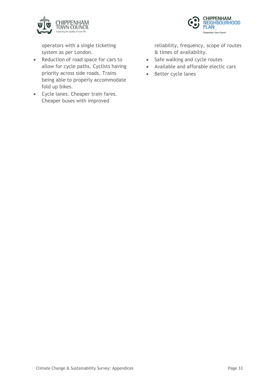



operators with a single ticketing system as per London.

- Reduction of road space for cars to allow for cycle paths. Cyclists having priority across side roads. Trains being able to properly accommodate fold up bikes.
- Cycle lanes. Cheaper train fares. Cheaper buses with improved

reliability, frequency, scope of routes & times of availability.

- Safe walking and cycle routes
- Available and afforable electic cars
- Better cycle lanes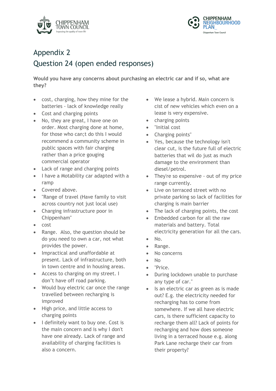



# Appendix 2 Question 24 (open ended responses)

**Would you have any concerns about purchasing an electric car and if so, what are they?**

- cost, charging, how they mine for the batteries - lack of knowledge really
- Cost and charging points
- No, they are great, I have one on order. Most charging done at home, for those who can;t do this I would recommend a community scheme in public spaces with fair charging rather than a price gouging commercial operator
- Lack of range and charging points
- I have a Motability car adapted with a ramp
- Covered above.
- "Range of travel (Have family to visit across country not just local use)
- Charging infrastructure poor in Chippenham"
- cost
- Range. Also, the question should be do you need to own a car, not what provides the power.
- Impractical and unaffordable at present. Lack of infrastructure, both in town centre and in housing areas.
- Access to charging on my street. I don't have off road parking.
- Would buy electric car once the range travelled between recharging is improved
- High price, and little access to charging points
- I definitely want to buy one. Cost is the main concern and is why I don't have one already. Lack of range and availability of charging facilities is also a concern.
- We lease a hybrid. Main concern is cist of new vehicles which even on a lease is very expensive.
- charging points
- "Initial cost
- Charging points"
- Yes, because the technology isn't clear cut, is the future full of electric batteries that wil do just as much damage to the environment than diesel/petrol.
- They're so expensive out of my price range currently.
- Live on terraced street with no private parking so lack of facilities for charging is main barrier
- The lack of charging points, the cost
- Embedded carbon for all the raw materials and battery. Total electricity generation for all the cars.
- No.
- Range.
- No concerns
- No
	- "Price.
- During lockdown unable to purchase any type of car."
- Is an electric car as green as is made out? E.g. the electricity needed for recharging has to come from somewhere. If we all have electric cars, is there sufficient capacity to recharge them all? Lack of points for recharging and how does someone living in a terraced house e.g. along Park Lane recharge their car from their property?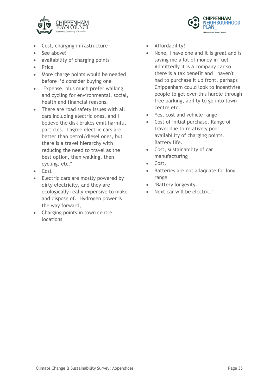



- Cost, charging infrastructure
- See above!
- availability of charging points
- Price
- More charge points would be needed before I'd consider buying one
- "Expense, plus much prefer walking and cycling for environmental, social, health and financial reasons.
- There are road safety issues with all cars including electric ones, and I believe the disk brakes emit harmful particles. I agree electric cars are better than petrol/diesel ones, but there is a travel hierarchy with reducing the need to travel as the best option, then walking, then cycling, etc."
- Cost
- Electric cars are mostly powered by dirty electricity, and they are ecologically really expensive to make and dispose of. Hydrogen power is the way forward,
- Charging points in town centre locations
- Affordability!
- None, I have one and it is great and is saving me a lot of money in fuel. Admittedly it is a company car so there is a tax benefit and I haven't had to purchase it up front, perhaps Chippenham could look to incentivise people to get over this hurdle through free parking, ability to go into town centre etc.
- Yes, cost and vehicle range.
- Cost of initial purchase. Range of travel due to relatively poor availability of charging points. Battery life.
- Cost, sustainability of car manufacturing
- Cost.
- Batteries are not adaquate for long range
- "Battery longevity.
- Next car will be electric."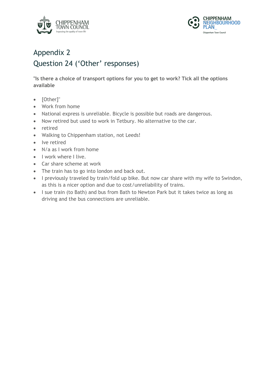



#### Appendix 2 Question 24 ('Other' responses)

**"Is there a choice of transport options for you to get to work? Tick all the options available** 

- [Other]"
- Work from home
- National express is unreliable. Bicycle is possible but roads are dangerous.
- Now retired but used to work in Tetbury. No alternative to the car.
- retired
- Walking to Chippenham station, not Leeds!
- Ive retired
- N/a as I work from home
- I work where I live.
- Car share scheme at work
- The train has to go into london and back out.
- I previously traveled by train/fold up bike. But now car share with my wife to Swindon, as this is a nicer option and due to cost/unreliability of trains.
- I sue train (to Bath) and bus from Bath to Newton Park but it takes twice as long as driving and the bus connections are unreliable.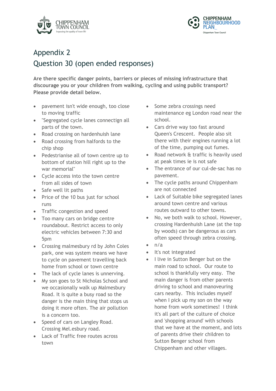



#### Appendix 2 Question 30 (open ended responses)

**Are there specific danger points, barriers or pieces of missing infrastructure that discourage you or your children from walking, cycling and using public transport? Please provide detail below.**

- pavement isn't wide enough, too close to moving traffic
- "Segregated cycle lanes connectign all parts of the town.
- Road crossing on hardenhuish lane
- Road crossing from halfords to the chip shop
- Pedestrianise all of town centre up to bottom of station hill right up to the war memorial"
- Cycle access into the town centre from all sides of town
- Safe well lit paths
- Price of the 10 bus just for school runs
- Traffic congestion and speed
- Too many cars on bridge centre roundabout. Restrict access to only electric vehicles between 7:30 and 5pm
- Crossing malmesbury rd by John Coles park, one was system means we have to cycle on pavement travelling back home from school or town centre
- The lack of cycle lanes is unnerving.
- My son goes to St Nicholas School and we occasionally walk up Malmesbury Road. It is quite a busy road so the danger is the main thing that stops us doing it more often. The air pollution is a concern too.
- Speed of cars on Langley Road. Crossing Mel.esbury road.
- Lack of Traffic free routes across town
- Some zebra crossings need maintenance eg London road near the school.
- Cars drive way too fast around Queen's Crescent. People also sit there with their engines running a lot of the time, pumping out fumes.
- Road network & traffic is heavily used at peak times ie is not safe
- The entrance of our cul-de-sac has no pavement.
- The cycle paths around Chippenham are not connected
- Lack of Suitable bike segregated lanes around town centre and various routes outward to other towns.
- No, we both walk to school. However, crossing Hardenhuish Lane (at the top by woods) can be dangerous as cars often speed through zebra crossing.
- $n/a$
- It's not integrated
- I live in Sutton Benger but on the main road to school. Our route to school is thankfully very easy. The main danger is from other parents driving to school and manoveuring cars nearby. This includes myself when I pick up my son on the way home from work sometimes! I think it's all part of the culture of choice and 'shopping around' with schools that we have at the moment, and lots of parents drive their children to Sutton Benger school from Chippenham and other villages.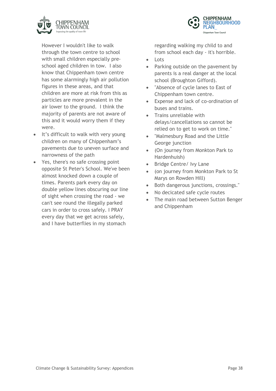



However I wouldn't like to walk through the town centre to school with small children especially preschool aged children in tow. I also know that Chippenham town centre has some alarmingly high air pollution figures in these areas, and that children are more at risk from this as particles are more prevalent in the air lower to the ground. I think the majority of parents are not aware of this and it would worry them if they were.

- It's difficult to walk with very young children on many of Chippenham's pavements due to uneven surface and narrowness of the path
- Yes, there's no safe crossing point opposite St Peter's School. We've been almost knocked down a couple of times. Parents park every day on double yellow lines obscuring our line of sight when crossing the road - we can't see round the illegally parked cars in order to cross safely. I PRAY every day that we get across safely, and I have butterflies in my stomach

regarding walking my child to and from school each day - it's horrible.

- Lots
- Parking outside on the pavement by parents is a real danger at the local school (Broughton Gifford).
- "Absence of cycle lanes to East of Chippenham town centre.
- Expense and lack of co-ordination of buses and trains.
- Trains unreliable with delays/cancellations so cannot be relied on to get to work on time."
- "Malmesbury Road and the Little George junction
- (On journey from Monkton Park to Hardenhuish)
- Bridge Centre/ Ivy Lane
- (on journey from Monkton Park to St Marys on Rowden Hill)
- Both dangerous junctions, crossings."
- No decicated safe cycle routes
- The main road between Sutton Benger and Chippenham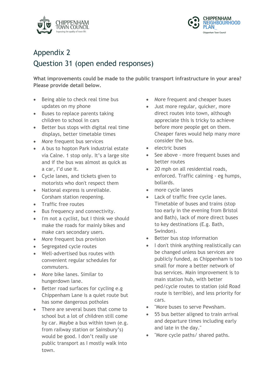



### Appendix 2 Question 31 (open ended responses)

**What improvements could be made to the public transport infrastructure in your area? Please provide detail below.**

- Being able to check real time bus updates on my phone
- Buses to replace parents taking children to school in cars
- Better bus stops with digital real time displays, better timetable times
- More frequent bus services
- A bus to hopton Park industrial estate via Calne. 1 stop only. It's a large site and if the bus was almost as quick as a car, I'd use it.
- Cycle lanes, and tickets given to motorists who don't respect them
- National express is unreliable. Corsham station reopening.
- Traffic free routes
- Bus frequency and connectivity.
- I'm not a cyclist, but I think we should make the roads for mainly bikes and make cars secondary users.
- More frequent bus provision
- Segregated cycle routes
- Well-advertised bus routes with convenient regular schedules for commuters.
- More bike lanes. Similar to hungerdown lane.
- Better road surfaces for cycling e.g Chippenham Lane is a quiet route but has some dangerous potholes
- There are several buses that come to school but a lot of children still come by car. Maybe a bus within town (e.g. from railway station or Sainsbury's) would be good. I don't really use public transport as I mostly walk into town.
- More frequent and cheaper buses
- Just more regular, quicker, more direct routes into town, although appreciate this is tricky to achieve before more people get on them. Cheaper fares would help many more consider the bus.
- electric buses
- See above more frequent buses and better routes
- 20 mph on all residential roads, enforced. Traffic calming - eg humps, bollards.
- more cycle lanes
- Lack of traffic free cycle lanes. Timetable of buses and trains (stop too early in the evening from Bristol and Bath), lack of more direct buses to key destinations (E.g. Bath, Swindon).
- Better bus stop information
- I don't think anything realistically can be changed unless bus services are publicly funded, as Chippenham is too small for more a better network of bus services. Main improvement is to main station hub, with better ped/cycle routes to station (old Road route is terrible), and less priority for cars.
- "More buses to serve Pewsham.
- 55 bus better aligned to train arrival and departure times including early and late in the day."
- "More cycle paths/ shared paths.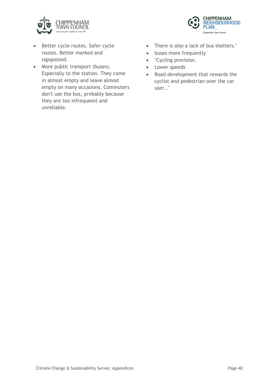



- Better cycle routes. Safer cycle routes. Better marked and signposted.
- More public transport (buses). Especially to the station. They come in almost empty and leave almost empty on many occasions. Commuters don't use the bus, prnbably because they are too infrequesnt and unreliable.
- There is also a lack of bus shelters."
- buses more frequently
- "Cycling provision.
- Lower speeds
- Road development that rewards the cyclist and pedestrian over the car user.."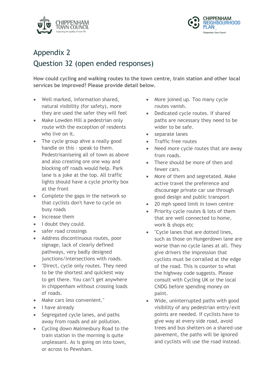



# Appendix 2 Question 32 (open ended responses)

**How could cycling and walking routes to the town centre, train station and other local services be improved? Please provide detail below.**

- Well marked, information shared, natural visibility (for safety), more they are used the safer they will feel
- Make Lowden Hill a pedestrian only route with the exception of resdents who live on it.
- The cycle group ahve a really good handle on this - speak to them. Pedestrisaniseing all of town as above and also creating ore one way and blocking off roads would help. Park lane is a joke at the top. All traffic lights should have a cycle priority box at the front
- Complete the gaps in the network so that cyclists don't have to cycle on busy roads
- Increase them
- I doubt they could.
- safer road crossings
- Address discontinuous routes, poor signage, lack of clearly defined pathways, very badly designed junctions/intersections with roads.
- "Direct, cycle only routes. They need to be the shortest and quickest way to get there. You can't get anywhere in chippenham without crossing loads of roads.
- Make cars less convenient."
- I have already
- Segregated cycle lanes, and paths away from roads and air pollution.
- Cycling down Malmesbury Road to the train station in the morning is quite unpleasant. As is going on into town, or across to Pewsham.
- More joined up. Too many cycle routes vanish.
- Dedicated cycle routes. If shared paths are necessary they need to be wider to be safe.
- separate lanes
- Traffic free routes
- Need more cycle routes that are away from roads.
- There should be more of then and fewer cars.
- More of them and segretated. Make active travel the preference and discourage private car use through good design and public transport
- 20 mph speed limit in town centre
- Priority cycle routes & lots of them that are well connected to home, work & shops etc
- "Cycle lanes that are dotted lines, such as those on Hungerdown lane are worse than no cycle lanes at all. They give drivers the impression that cyclists must be corralled at the edge of the road. This is counter to what the highway code suggests. Please consult with Cycling UK or the local CNDG before spending money on paint.
- Wide, uninterrupted paths with good visibility of any pedestrian entry/exit points are needed. If cyclists have to give way at every side road, avoid trees and bus shelters on a shared-use pavement, the paths will be ignored and cyclists will use the road instead.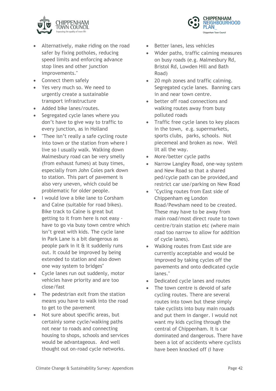

- Alternatively, make riding on the road safer by fixing potholes, reducing speed limits and enforcing advance stop lines and other junction improvements."
- Connect them safely
- Yes very much so. We need to urgently create a sustainable transport infrastructure
- Added bike lanes/routes.
- Segregated cycle lanes where you don't have to give way to traffic to every junction, as in Holland
- "Thee isn't really a safe cycling route into town or the station from where I live so I usually walk. Walking down Malmesbury road can be very smelly (from exhaust fumes) at busy times, especially from John Coles park down to station. This part of pavement is also very uneven, which could be problematic for older people.
- I would love a bike lane to Corsham and Calne (suitable for road bikes). Bike track to Calne is great but getting to it from here is not easy have to go via busy town centre which isn't great with kids. The cycle lane in Park Lane is a bit dangerous as people park in it & it suddenly runs out. It could be improved by being extended to station and also down one way system to bridges"
- Cycle lanes run out suddenly, motor vehicles have priority and are too close/fast
- The pedestrian exit from the station means you have to walk into the road to get to the pavement
- Not sure about specific areas, but certainly some cycle/walking paths not near to roads and connecting housing to shops, schools and services would be advantageous. And well thought out on-road cycle networks.
- Better lanes, less vehicles
- Wider paths, traffic calming measures on busy roads (e.g. Malmesbury Rd, Bristol Rd, Lowden Hill and Bath Road)

**CHIPPENHAM** 

Chippenham Town Council

**NEIGHBOURHOOD** 

- 20 mph zones and traffic calming. Segregated cycle lanes. Banning cars in and near town centre.
- better off road connections and walking routes away from busy polluted roads
- Traffic free cycle lanes to key places in the town, e.g. supermarkets, sports clubs, parks, schools. Not piecemeal and broken as now. Well lit all the way.
- More/better cycle paths
- Narrow Langley Road, one-way system and New Road so that a shared ped/cycle path can be provided,and restrict car use/parking on New Road
- "Cycling routes from East side of Chippenham eg London Road/Pewsham need to be created. These may have to be away from main road/most direct route to town centre/train station etc (where main road too narrow to allow for addition of cycle lanes).
- Walking routes from East side are currently acceptable and would be improved by taking cycles off the pavements and onto dedicated cycle lanes."
- Dedicated cycle lanes and routes
- The town centre is devoid of safe cycling routes. There are several routes into town but these simply take cyclists into busy main rouads and put them in danger. I would not want my kids cycling through the central of Chippenham. It is car dominated and dangerous. There have been a lot of accidents where cyclists have been knocked off (I have